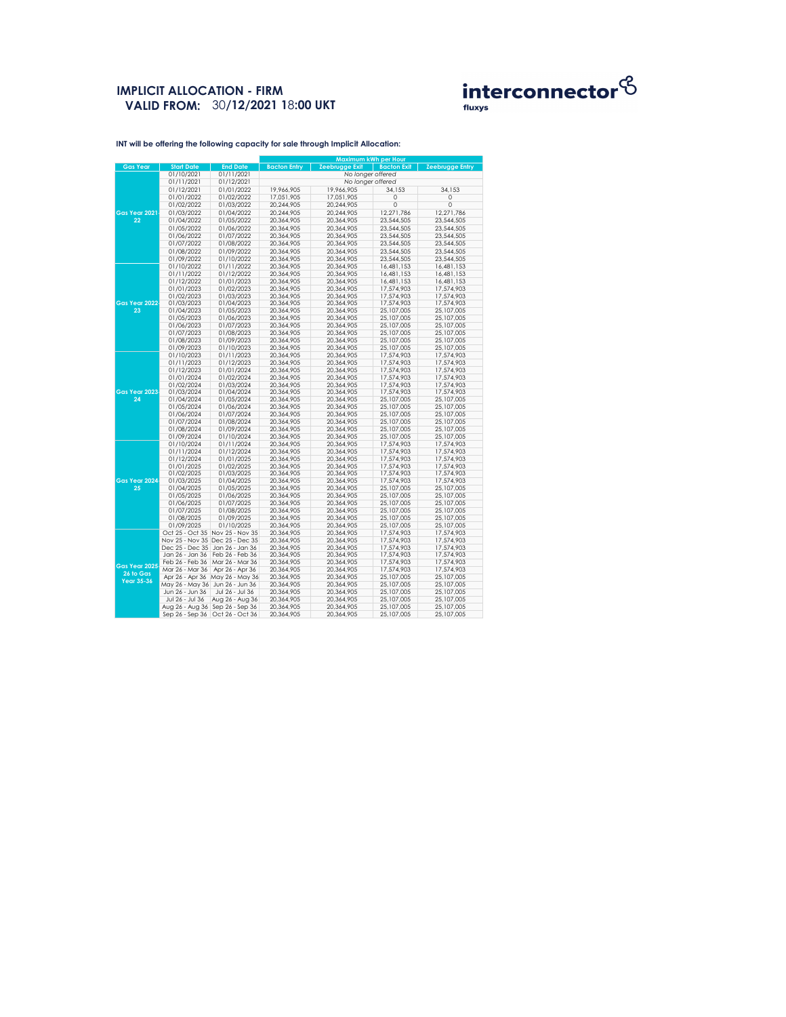## **IMPLICIT ALLOCATION - FIRM VALID FROM:** 30**/12/2021 1**8**:00 UKT**



|                      |                   |                                 | <b>Maximum kWh per Hour</b> |                       |                    |                        |  |  |
|----------------------|-------------------|---------------------------------|-----------------------------|-----------------------|--------------------|------------------------|--|--|
| <b>Gas Year</b>      | <b>Start Date</b> | <b>End Date</b>                 | <b>Bacton Entry</b>         | <b>Zeebrugge Exit</b> | <b>Bacton Exit</b> | <b>Zeebrugge Entry</b> |  |  |
|                      | 01/10/2021        | 01/11/2021                      |                             | No longer offered     |                    |                        |  |  |
|                      | 01/11/2021        | 01/12/2021                      | No longer offered           |                       |                    |                        |  |  |
|                      | 01/12/2021        | 01/01/2022                      | 19,966,905                  | 19,966,905            | 34,153             | 34,153                 |  |  |
|                      | 01/01/2022        | 01/02/2022                      | 17,051,905                  | 17,051,905            | $\mathbf 0$        | $\overline{0}$         |  |  |
|                      | 01/02/2022        | 01/03/2022                      | 20,244,905                  | 20,244,905            | $\overline{0}$     | $\overline{0}$         |  |  |
| <b>Gas Year 2021</b> | 01/03/2022        | 01/04/2022                      | 20,244,905                  | 20,244,905            | 12,271,786         | 12,271,786             |  |  |
|                      |                   |                                 |                             |                       |                    |                        |  |  |
| 22                   | 01/04/2022        | 01/05/2022                      | 20,364,905                  | 20,364,905            | 23,544,505         | 23,544,505             |  |  |
|                      | 01/05/2022        | 01/06/2022                      | 20,364,905                  | 20,364,905            | 23,544,505         | 23,544,505             |  |  |
|                      | 01/06/2022        | 01/07/2022                      | 20,364,905                  | 20,364,905            | 23,544,505         | 23,544,505             |  |  |
|                      | 01/07/2022        | 01/08/2022                      | 20,364,905                  | 20,364,905            | 23,544,505         | 23,544,505             |  |  |
|                      | 01/08/2022        | 01/09/2022                      | 20,364,905                  | 20,364,905            | 23,544,505         | 23,544,505             |  |  |
|                      | 01/09/2022        | 01/10/2022                      | 20,364,905                  | 20,364,905            | 23,544,505         | 23,544,505             |  |  |
|                      | 01/10/2022        | 01/11/2022                      | 20,364,905                  | 20,364,905            | 16,481,153         | 16,481,153             |  |  |
|                      | 01/11/2022        | 01/12/2022                      | 20,364,905                  | 20,364,905            | 16,481,153         | 16,481,153             |  |  |
|                      | 01/12/2022        | 01/01/2023                      | 20,364,905                  | 20,364,905            | 16,481,153         | 16,481,153             |  |  |
|                      | 01/01/2023        | 01/02/2023                      | 20,364,905                  | 20,364,905            | 17,574,903         | 17,574,903             |  |  |
|                      | 01/02/2023        | 01/03/2023                      | 20,364,905                  | 20,364,905            | 17,574,903         | 17,574,903             |  |  |
| Gas Year 2022        | 01/03/2023        | 01/04/2023                      | 20,364,905                  | 20,364,905            | 17,574,903         | 17,574,903             |  |  |
| 23                   | 01/04/2023        | 01/05/2023                      | 20,364,905                  | 20,364,905            | 25,107,005         | 25,107,005             |  |  |
|                      | 01/05/2023        | 01/06/2023                      | 20,364,905                  | 20,364,905            | 25,107,005         | 25,107,005             |  |  |
|                      | 01/06/2023        | 01/07/2023                      | 20,364,905                  | 20,364,905            | 25,107,005         | 25,107,005             |  |  |
|                      | 01/07/2023        |                                 |                             |                       |                    |                        |  |  |
|                      |                   | 01/08/2023                      | 20,364,905                  | 20,364,905            | 25,107,005         | 25,107,005             |  |  |
|                      | 01/08/2023        | 01/09/2023                      | 20,364,905                  | 20,364,905            | 25,107,005         | 25,107,005             |  |  |
|                      | 01/09/2023        | 01/10/2023                      | 20,364,905                  | 20,364,905            | 25,107,005         | 25,107,005             |  |  |
|                      | 01/10/2023        | 01/11/2023                      | 20,364,905                  | 20,364,905            | 17,574,903         | 17,574,903             |  |  |
|                      | 01/11/2023        | 01/12/2023                      | 20,364,905                  | 20,364,905            | 17,574,903         | 17,574,903             |  |  |
|                      | 01/12/2023        | 01/01/2024                      | 20,364,905                  | 20,364,905            | 17,574,903         | 17,574,903             |  |  |
|                      | 01/01/2024        | 01/02/2024                      | 20,364,905                  | 20,364,905            | 17,574,903         | 17,574,903             |  |  |
|                      | 01/02/2024        | 01/03/2024                      | 20,364,905                  | 20,364,905            | 17,574,903         | 17,574,903             |  |  |
| Gas Year 2023        | 01/03/2024        | 01/04/2024                      | 20,364,905                  | 20,364,905            | 17,574,903         | 17,574,903             |  |  |
| 24                   | 01/04/2024        | 01/05/2024                      | 20,364,905                  | 20,364,905            | 25,107,005         | 25,107,005             |  |  |
|                      | 01/05/2024        | 01/06/2024                      | 20,364,905                  | 20,364,905            | 25,107,005         | 25,107,005             |  |  |
|                      | 01/06/2024        | 01/07/2024                      | 20,364,905                  | 20,364,905            | 25,107,005         | 25,107,005             |  |  |
|                      | 01/07/2024        | 01/08/2024                      | 20,364,905                  | 20,364,905            | 25,107,005         | 25,107,005             |  |  |
|                      | 01/08/2024        | 01/09/2024                      | 20,364,905                  | 20,364,905            | 25,107,005         | 25,107,005             |  |  |
|                      | 01/09/2024        | 01/10/2024                      | 20,364,905                  | 20,364,905            | 25,107,005         | 25,107,005             |  |  |
|                      | 01/10/2024        | 01/11/2024                      | 20,364,905                  | 20,364,905            | 17,574,903         | 17,574,903             |  |  |
|                      | 01/11/2024        | 01/12/2024                      | 20,364,905                  | 20,364,905            | 17,574,903         | 17,574,903             |  |  |
|                      | 01/12/2024        | 01/01/2025                      | 20,364,905                  | 20,364,905            | 17,574,903         | 17,574,903             |  |  |
|                      | 01/01/2025        | 01/02/2025                      | 20,364,905                  | 20,364,905            | 17,574,903         | 17,574,903             |  |  |
|                      | 01/02/2025        | 01/03/2025                      | 20,364,905                  | 20,364,905            | 17,574,903         | 17,574,903             |  |  |
| Gas Year 2024        | 01/03/2025        | 01/04/2025                      | 20,364,905                  | 20,364,905            | 17,574,903         | 17,574,903             |  |  |
| 25                   | 01/04/2025        | 01/05/2025                      | 20,364,905                  | 20,364,905            | 25,107,005         | 25,107,005             |  |  |
|                      | 01/05/2025        | 01/06/2025                      | 20,364,905                  | 20,364,905            | 25,107,005         | 25,107,005             |  |  |
|                      | 01/06/2025        | 01/07/2025                      | 20,364,905                  | 20,364,905            | 25,107,005         | 25,107,005             |  |  |
|                      | 01/07/2025        | 01/08/2025                      | 20,364,905                  | 20,364,905            | 25,107,005         | 25,107,005             |  |  |
|                      | 01/08/2025        | 01/09/2025                      | 20,364,905                  | 20,364,905            | 25,107,005         | 25,107,005             |  |  |
|                      | 01/09/2025        | 01/10/2025                      | 20,364,905                  | 20,364,905            | 25,107,005         | 25,107,005             |  |  |
|                      |                   | Oct 25 - Oct 35 Nov 25 - Nov 35 | 20,364,905                  | 20,364,905            | 17,574,903         | 17,574,903             |  |  |
|                      |                   | Nov 25 - Nov 35 Dec 25 - Dec 35 | 20,364,905                  | 20,364,905            | 17,574,903         | 17,574,903             |  |  |
|                      | Dec 25 - Dec 35   | Jan 26 - Jan 36                 | 20,364,905                  | 20,364,905            | 17,574,903         | 17,574,903             |  |  |
|                      | Jan 26 - Jan 36   | Feb 26 - Feb 36                 | 20,364,905                  | 20,364,905            | 17,574,903         | 17,574,903             |  |  |
|                      | Feb 26 - Feb 36   | Mar 26 - Mar 36                 | 20,364,905                  | 20,364,905            | 17,574,903         | 17,574,903             |  |  |
| Gas Year 2025        | Mar 26 - Mar 36   | Apr 26 - Apr 36                 | 20,364,905                  | 20,364,905            | 17,574,903         | 17,574,903             |  |  |
| 26 to Gas            |                   | May 26 - May 36                 | 20,364,905                  |                       |                    |                        |  |  |
| <b>Year 35-36</b>    | Apr 26 - Apr 36   |                                 |                             | 20,364,905            | 25,107,005         | 25,107,005             |  |  |
|                      | May 26 - May 36   | Jun 26 - Jun 36                 | 20,364,905                  | 20,364,905            | 25,107,005         | 25,107,005             |  |  |
|                      | Jun 26 - Jun 36   | Jul 26 - Jul 36                 | 20,364,905                  | 20,364,905            | 25,107,005         | 25,107,005             |  |  |
|                      | Jul 26 - Jul 36   | Aug 26 - Aug 36                 | 20,364,905                  | 20,364,905            | 25,107,005         | 25,107,005             |  |  |
|                      | Aug 26 - Aug 36   | Sep 26 - Sep 36                 | 20,364,905                  | 20,364,905            | 25,107,005         | 25,107,005             |  |  |
|                      | Sep 26 - Sep 36   | Oct 26 - Oct 36                 | 20,364,905                  | 20,364,905            | 25,107,005         | 25,107,005             |  |  |

**INT will be offering the following capacity for sale through Implicit Allocation:**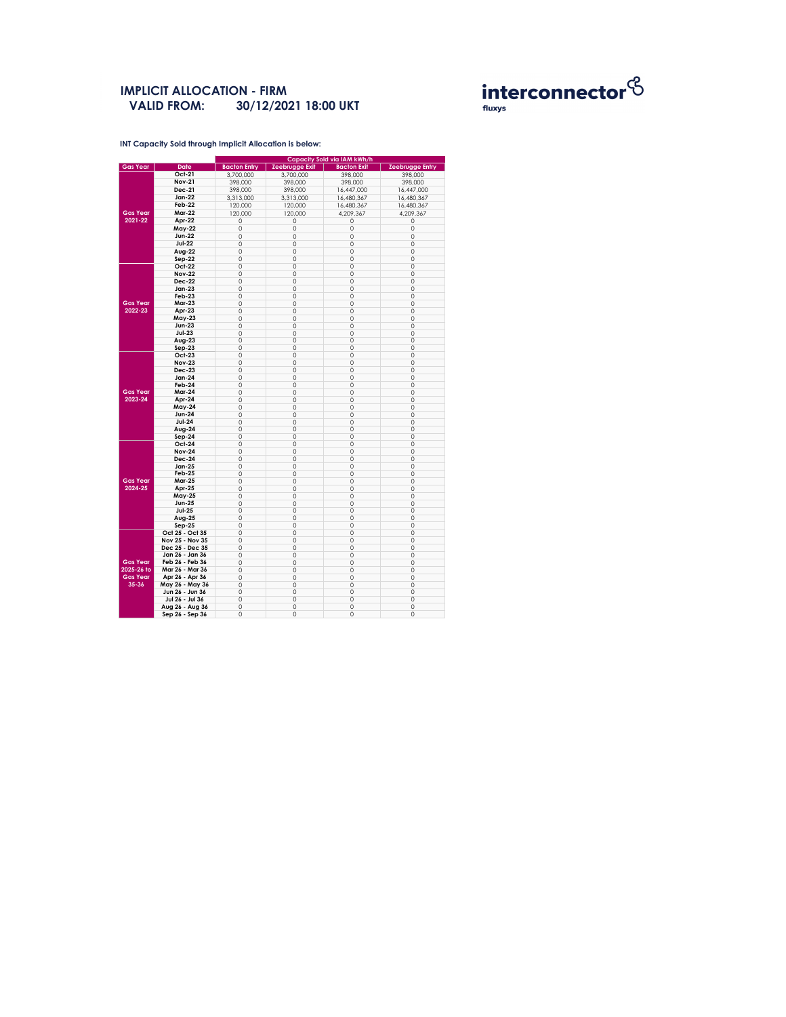**INT Capacity Sold through Implicit Allocation is below:** 

### **IMPLICIT ALLOCATION - FIRM 30/12/2021 18:00 UKT VALID FROM:**



|                            |                 | <b>Capacity Sold via IAM kWh/h</b> |                       |                    |                        |  |  |  |
|----------------------------|-----------------|------------------------------------|-----------------------|--------------------|------------------------|--|--|--|
| <b>Gas Year</b>            | <b>Date</b>     | <b>Bacton Entry</b>                | <b>Zeebrugge Exit</b> | <b>Bacton Exit</b> | <b>Zeebrugge Entry</b> |  |  |  |
|                            | <b>Oct-21</b>   | 3,700,000                          | 3,700,000             | 398,000            | 398,000                |  |  |  |
|                            | <b>Nov-21</b>   | 398,000                            | 398,000               | 398,000            | 398,000                |  |  |  |
|                            | <b>Dec-21</b>   | 398,000                            | 398,000               | 16,447,000         | 16,447,000             |  |  |  |
|                            | <b>Jan-22</b>   | 3,313,000                          | 3,313,000             | 16,480,367         | 16,480,367             |  |  |  |
|                            | <b>Feb-22</b>   |                                    |                       | 16,480,367         |                        |  |  |  |
| <b>Gas Year</b><br>2021-22 |                 | 120,000                            | 120,000               |                    | 16,480,367             |  |  |  |
|                            | <b>Mar-22</b>   | 120,000                            | 120,000               | 4,209,367          | 4,209,367              |  |  |  |
|                            | Apr-22          | 0                                  | 0                     | 0                  | 0                      |  |  |  |
|                            | <b>May-22</b>   | 0                                  | 0                     | 0                  | 0                      |  |  |  |
|                            | <b>Jun-22</b>   | 0                                  | 0                     | 0                  | 0                      |  |  |  |
|                            | <b>Jul-22</b>   | 0                                  | 0                     | 0                  | $\mathbf 0$            |  |  |  |
|                            | Aug-22          | 0                                  | $\mathsf{O}\xspace$   | 0                  | $\mathbf 0$            |  |  |  |
|                            | Sep-22          | 0                                  | 0                     | 0                  | 0                      |  |  |  |
|                            | <b>Oct-22</b>   | 0                                  | 0                     | 0                  | 0                      |  |  |  |
|                            | <b>Nov-22</b>   | 0                                  | 0                     | 0                  | $\overline{O}$         |  |  |  |
|                            |                 |                                    |                       |                    |                        |  |  |  |
|                            | <b>Dec-22</b>   | $\hbox{O}$                         | $\mathsf{O}\xspace$   | 0                  | $\mathsf{O}\xspace$    |  |  |  |
|                            | <b>Jan-23</b>   | 0                                  | 0                     | 0                  | 0                      |  |  |  |
|                            | Feb-23          | 0                                  | $\hbox{O}$            | 0                  | 0                      |  |  |  |
| <b>Gas Year</b>            | <b>Mar-23</b>   | 0                                  | 0                     | 0                  | $\overline{O}$         |  |  |  |
| 2022-23                    | Apr-23          | 0                                  | $\mathsf{O}\xspace$   | 0                  | $\mathbf 0$            |  |  |  |
|                            | <b>May-23</b>   | 0                                  | 0                     | 0                  | $\mathbf 0$            |  |  |  |
|                            | <b>Jun-23</b>   | 0                                  | 0                     | 0                  | 0                      |  |  |  |
|                            | $Jul-23$        | 0                                  | 0                     | 0                  | 0                      |  |  |  |
|                            | Aug-23          | 0                                  | $\mathsf{O}\xspace$   | 0                  | $\mathbf 0$            |  |  |  |
|                            | $Sep-23$        | 0                                  | $\hbox{O}$            | 0                  | $\mathsf{O}\xspace$    |  |  |  |
|                            | <b>Oct-23</b>   | 0                                  | 0                     | 0                  | 0                      |  |  |  |
|                            | <b>Nov-23</b>   | 0                                  | 0                     | 0                  | 0                      |  |  |  |
|                            | <b>Dec-23</b>   |                                    |                       |                    |                        |  |  |  |
|                            |                 | 0                                  | $\mathsf O$           | 0                  | $\mathsf{O}\xspace$    |  |  |  |
|                            | <b>Jan-24</b>   | 0                                  | $\mathsf{O}\xspace$   | 0                  | $\mathsf{O}\xspace$    |  |  |  |
|                            | Feb-24          | 0                                  | 0                     | 0                  | 0                      |  |  |  |
| <b>Gas Year</b>            | <b>Mar-24</b>   | 0                                  | $\mathsf O$           | 0                  | $\mathbf 0$            |  |  |  |
| 2023-24                    | Apr-24          | 0                                  | 0                     | 0                  | $\mathsf{O}\xspace$    |  |  |  |
|                            | <b>May-24</b>   | 0                                  | 0                     | 0                  | 0                      |  |  |  |
|                            | <b>Jun-24</b>   | 0                                  | 0                     | 0                  | $\overline{O}$         |  |  |  |
|                            | <b>Jul-24</b>   | 0                                  | $\mathsf O$           | 0                  | 0                      |  |  |  |
|                            | Aug-24          | 0                                  | 0                     | 0                  | 0                      |  |  |  |
|                            | $Sep-24$        | 0                                  | 0                     | 0                  | $\mathsf{O}\xspace$    |  |  |  |
|                            | <b>Oct-24</b>   | 0                                  | 0                     | 0                  | 0                      |  |  |  |
|                            | <b>Nov-24</b>   |                                    |                       |                    |                        |  |  |  |
|                            | <b>Dec-24</b>   | 0                                  | 0                     | 0                  | 0                      |  |  |  |
|                            |                 | 0                                  | 0                     | 0                  | 0                      |  |  |  |
|                            | <b>Jan-25</b>   | 0                                  | 0                     | 0                  | $\mathsf{O}\xspace$    |  |  |  |
|                            | <b>Feb-25</b>   | 0                                  | 0                     | 0                  | $\mathsf{O}\xspace$    |  |  |  |
| <b>Gas Year</b>            | <b>Mar-25</b>   | 0                                  | 0                     | 0                  | 0                      |  |  |  |
| 2024-25                    | Apr-25          | 0                                  | 0                     | 0                  | 0                      |  |  |  |
|                            | <b>May-25</b>   | 0                                  | 0                     | 0                  | 0                      |  |  |  |
|                            | <b>Jun-25</b>   | 0                                  | $\mathsf{O}\xspace$   | 0                  | $\mathsf{O}\xspace$    |  |  |  |
|                            | <b>Jul-25</b>   | 0                                  | 0                     | 0                  | 0                      |  |  |  |
|                            | <b>Aug-25</b>   | 0                                  | $\mathsf O$           | 0                  | 0                      |  |  |  |
|                            | $Sep-25$        | 0                                  | 0                     | 0                  | 0                      |  |  |  |
|                            | Oct 25 - Oct 35 | 0                                  | 0                     | 0                  | $\mathsf{O}\xspace$    |  |  |  |
|                            | Nov 25 - Nov 35 |                                    |                       |                    |                        |  |  |  |
|                            |                 | 0                                  | 0                     | 0                  | $\mathbf 0$            |  |  |  |
|                            | Dec 25 - Dec 35 | 0                                  | 0                     | 0                  | 0                      |  |  |  |
|                            | Jan 26 - Jan 36 | 0                                  | $\mathsf O$           | 0                  | 0                      |  |  |  |
| <b>Gas Year</b>            | Feb 26 - Feb 36 | 0                                  | 0                     | 0                  | $\mathsf{O}\xspace$    |  |  |  |
| 2025-26 to                 | Mar 26 - Mar 36 | 0                                  | 0                     | 0                  | 0                      |  |  |  |
| <b>Gas Year</b>            | Apr 26 - Apr 36 | 0                                  | 0                     | 0                  | 0                      |  |  |  |
| $35 - 36$                  | May 26 - May 36 | 0                                  | $\mathsf O$           | 0                  | 0                      |  |  |  |
|                            | Jun 26 - Jun 36 | 0                                  | 0                     | 0                  | $\mathsf{O}\xspace$    |  |  |  |
|                            | Jul 26 - Jul 36 | 0                                  | 0                     | 0                  | $\mathsf{O}\xspace$    |  |  |  |
|                            | Aug 26 - Aug 36 | 0                                  | 0                     | 0                  | $\mathsf{O}\xspace$    |  |  |  |
|                            | Sep 26 - Sep 36 |                                    | 0                     |                    | $\overline{O}$         |  |  |  |
|                            |                 | 0                                  |                       | 0                  |                        |  |  |  |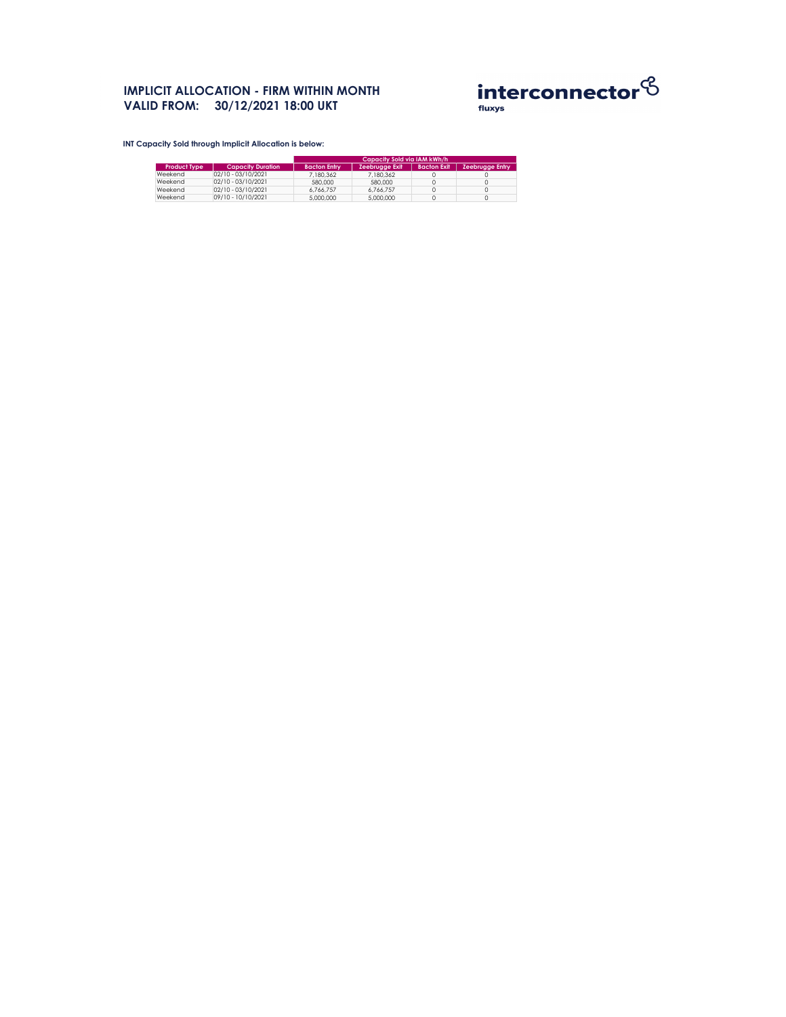# **IMPLICIT ALLOCATION - FIRM WITHIN MONTH VALID FROM: 30/12/2021 18:00 UKT**



**INT Capacity Sold through Implicit Allocation is below:** 

|                     |                          | Capacity Sold via IAM kWh/h |                       |                    |                        |  |  |
|---------------------|--------------------------|-----------------------------|-----------------------|--------------------|------------------------|--|--|
| <b>Product Type</b> | <b>Capacity Duration</b> | <b>Bacton Entry</b>         | <b>Zeebrugge Exit</b> | <b>Bacton Exit</b> | <b>Zeebrugge Entry</b> |  |  |
| Weekend             | 02/10 - 03/10/2021       | 7,180,362                   | 7,180,362             |                    |                        |  |  |
| Weekend             | 02/10 - 03/10/2021       | 580,000                     | 580,000               |                    |                        |  |  |
| Weekend             | 02/10 - 03/10/2021       | 6,766,757                   | 6,766,757             |                    |                        |  |  |
| Weekend             | 09/10 - 10/10/2021       | 5,000,000                   | 5,000,000             |                    |                        |  |  |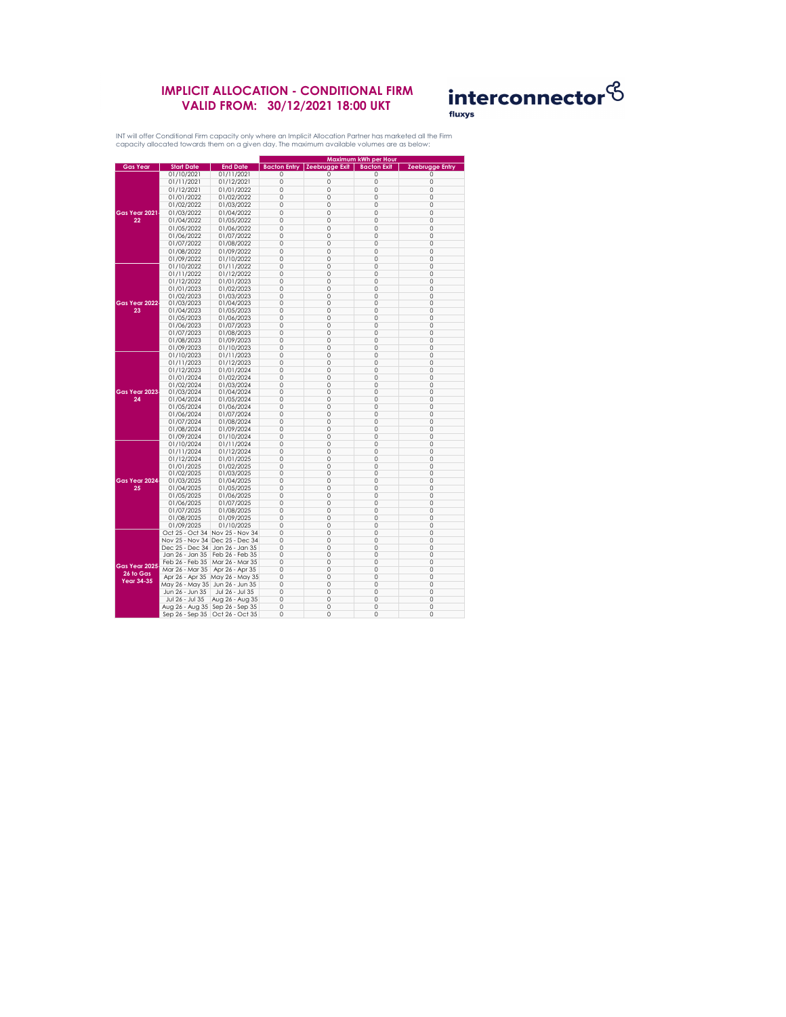### **IMPLICIT ALLOCATION - CONDITIONAL FIRM VALID FROM: 30/12/2021 18:00 UKT**



|                      |                   |                                   | <b>Maximum kWh per Hour</b> |                       |                    |                        |
|----------------------|-------------------|-----------------------------------|-----------------------------|-----------------------|--------------------|------------------------|
| <b>Gas Year</b>      | <b>Start Date</b> | <b>End Date</b>                   | <b>Bacton Entry</b>         | <b>Zeebrugge Exit</b> | <b>Bacton Exit</b> | <b>Zeebrugge Entry</b> |
|                      | 01/10/2021        | 01/11/2021                        | 0                           | Ω                     | 0                  | $\left( \right)$       |
|                      | 01/11/2021        | 01/12/2021                        | 0                           | 0                     | 0                  | O                      |
|                      | 01/12/2021        | 01/01/2022                        | 0                           | 0                     | 0                  | 0                      |
|                      | 01/01/2022        | 01/02/2022                        | 0                           | 0                     | 0                  | 0                      |
|                      | 01/02/2022        | 01/03/2022                        | 0                           | 0                     | 0                  | 0                      |
| Gas Year 2021        | 01/03/2022        | 01/04/2022                        | 0                           | 0                     | $\overline{0}$     | 0                      |
|                      |                   |                                   |                             |                       | 0                  | 0                      |
| 22                   | 01/04/2022        | 01/05/2022                        | 0                           | 0                     |                    |                        |
|                      | 01/05/2022        | 01/06/2022                        | 0                           | 0                     | 0                  | 0                      |
|                      | 01/06/2022        | 01/07/2022                        | 0                           | 0                     | $\overline{0}$     | 0                      |
|                      | 01/07/2022        | 01/08/2022                        | 0                           | 0                     | 0                  | ი                      |
|                      | 01/08/2022        | 01/09/2022                        | 0                           | 0                     | 0                  | ი                      |
|                      | 01/09/2022        | 01/10/2022                        | 0                           | 0                     | $\overline{0}$     | 0                      |
|                      | 01/10/2022        | 01/11/2022                        | 0                           | 0                     | $\overline{0}$     | 0                      |
|                      | 01/11/2022        | 01/12/2022                        | 0                           | 0                     | 0                  | 0                      |
|                      | 01/12/2022        | 01/01/2023                        | 0                           | 0                     | 0                  | 0                      |
|                      | 01/01/2023        | 01/02/2023                        | 0                           | 0                     | $\overline{0}$     | 0                      |
|                      | 01/02/2023        | 01/03/2023                        | 0                           | 0                     | 0                  | Ω                      |
| Gas Year 2022        | 01/03/2023        | 01/04/2023                        | 0                           | 0                     | 0                  | 0                      |
| 23                   | 01/04/2023        | 01/05/2023                        | 0                           | 0                     | $\overline{0}$     | Ω                      |
|                      | 01/05/2023        | 01/06/2023                        | 0                           | 0                     | 0                  | 0                      |
|                      |                   |                                   |                             |                       |                    |                        |
|                      | 01/06/2023        | 01/07/2023                        | 0                           | 0                     | 0                  | 0                      |
|                      | 01/07/2023        | 01/08/2023                        | 0                           | 0                     | 0                  | ი                      |
|                      | 01/08/2023        | 01/09/2023                        | 0                           | 0                     | 0                  | 0                      |
|                      | 01/09/2023        | 01/10/2023                        | 0                           | 0                     | 0                  | ი                      |
|                      | 01/10/2023        | 01/11/2023                        | 0                           | 0                     | 0                  | Ω                      |
|                      | 01/11/2023        | 01/12/2023                        | 0                           | 0                     | 0                  | Ω                      |
|                      | 01/12/2023        | 01/01/2024                        | 0                           | 0                     | 0                  | 0                      |
|                      | 01/01/2024        | 01/02/2024                        | 0                           | 0                     | $\overline{0}$     | 0                      |
|                      | 01/02/2024        | 01/03/2024                        | 0                           | 0                     | 0                  | 0                      |
| Gas Year 2023        | 01/03/2024        | 01/04/2024                        | 0                           | 0                     | 0                  | Ω                      |
| 24                   | 01/04/2024        | 01/05/2024                        | 0                           | 0                     | 0                  | 0                      |
|                      | 01/05/2024        | 01/06/2024                        | $\left( \right)$            | $\Box$                |                    |                        |
|                      | 01/06/2024        | 01/07/2024                        | 0                           | 0                     | $\overline{O}$     | 0                      |
|                      | 01/07/2024        | 01/08/2024                        | 0                           | 0                     | 0                  | 0                      |
|                      | 01/08/2024        | 01/09/2024                        | 0                           | 0                     | 0                  | 0                      |
|                      | 01/09/2024        | 01/10/2024                        | 0                           | 0                     | 0                  | 0                      |
|                      | 01/10/2024        | 01/11/2024                        | 0                           | 0                     | 0                  | 0                      |
|                      | 01/11/2024        | 01/12/2024                        | 0                           | 0                     | 0                  | 0                      |
|                      |                   |                                   |                             |                       |                    |                        |
|                      | 01/12/2024        | 01/01/2025                        | 0                           | 0                     | 0                  | Ω                      |
|                      | 01/01/2025        | 01/02/2025                        | 0                           | 0                     | 0                  | 0                      |
|                      | 01/02/2025        | 01/03/2025                        | 0                           | 0                     | 0                  | 0                      |
| Gas Year 2024        | 01/03/2025        | 01/04/2025                        | 0                           | 0                     | 0                  | 0                      |
| 25                   | 01/04/2025        | 01/05/2025                        | 0                           | 0                     | 0                  | 0                      |
|                      | 01/05/2025        | 01/06/2025                        | 0                           | 0                     | 0                  | 0                      |
|                      | 01/06/2025        | 01/07/2025                        | 0                           | 0                     | 0                  | 0                      |
|                      | 01/07/2025        | 01/08/2025                        | 0                           | 0                     | 0                  | 0                      |
|                      | 01/08/2025        | 01/09/2025                        | 0                           | 0                     | 0                  | 0                      |
|                      | 01/09/2025        | 01/10/2025                        | 0                           | 0                     | 0                  | Ω                      |
|                      | Oct 25 - Oct 34   | Nov 25 - Nov 34                   | 0                           | 0                     | 0                  | 0                      |
|                      |                   | Nov 25 - Nov 34 Dec 25 - Dec 34   | 0                           | 0                     | 0                  | 0                      |
|                      |                   | Dec 25 - Dec 34   Jan 26 - Jan 35 | 0                           | 0                     | 0                  | 0                      |
|                      | Jan 26 - Jan 35   | Feb 26 - Feb 35                   | 0                           | 0                     | 0                  | Ω                      |
|                      | Feb 26 - Feb 35   | Mar 26 - Mar 35                   | 0                           | 0                     | 0                  | 0                      |
| <b>Gas Year 2025</b> | Mar 26 - Mar 35   | Apr 26 - Apr 35                   | 0                           | 0                     | 0                  | 0                      |
| 26 to Gas            |                   |                                   |                             |                       |                    |                        |
| <b>Year 34-35</b>    | Apr 26 - Apr 35   | May 26 - May 35                   | 0                           | 0                     | 0                  | 0                      |
|                      | May 26 - May 35   | Jun 26 - Jun 35                   | 0                           | 0                     | 0                  | Ω                      |
|                      | Jun 26 - Jun 35   | Jul 26 - Jul 35                   | 0                           | 0                     | 0                  | 0                      |
|                      | Jul 26 - Jul 35   | Aug 26 - Aug 35                   | 0                           | 0                     | 0                  | 0                      |
|                      |                   | Aug 26 - Aug 35   Sep 26 - Sep 35 | 0                           | 0                     | 0                  | 0                      |
|                      | Sep 26 - Sep 35   | Oct 26 - Oct 35                   | 0                           | 0                     | $\overline{O}$     | 0                      |

INT will offer Conditional Firm capacity only where an Implicit Allocation Partner has marketed all the Firm capacity allocated towards them on a given day. The maximum available volumes are as below: